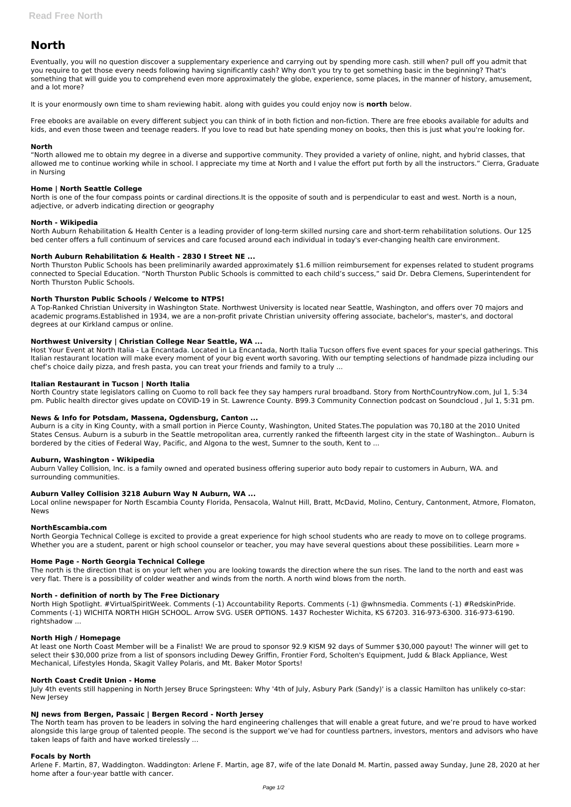# **North**

Eventually, you will no question discover a supplementary experience and carrying out by spending more cash. still when? pull off you admit that you require to get those every needs following having significantly cash? Why don't you try to get something basic in the beginning? That's something that will guide you to comprehend even more approximately the globe, experience, some places, in the manner of history, amusement, and a lot more?

It is your enormously own time to sham reviewing habit. along with guides you could enjoy now is **north** below.

Free ebooks are available on every different subject you can think of in both fiction and non-fiction. There are free ebooks available for adults and kids, and even those tween and teenage readers. If you love to read but hate spending money on books, then this is just what you're looking for.

## **North**

"North allowed me to obtain my degree in a diverse and supportive community. They provided a variety of online, night, and hybrid classes, that allowed me to continue working while in school. I appreciate my time at North and I value the effort put forth by all the instructors." Cierra, Graduate in Nursing

## **Home | North Seattle College**

North is one of the four compass points or cardinal directions.It is the opposite of south and is perpendicular to east and west. North is a noun, adjective, or adverb indicating direction or geography

## **North - Wikipedia**

North Auburn Rehabilitation & Health Center is a leading provider of long-term skilled nursing care and short-term rehabilitation solutions. Our 125 bed center offers a full continuum of services and care focused around each individual in today's ever-changing health care environment.

## **North Auburn Rehabilitation & Health - 2830 I Street NE ...**

North Thurston Public Schools has been preliminarily awarded approximately \$1.6 million reimbursement for expenses related to student programs connected to Special Education. "North Thurston Public Schools is committed to each child's success," said Dr. Debra Clemens, Superintendent for North Thurston Public Schools.

North Georgia Technical College is excited to provide a great experience for high school students who are ready to move on to college programs. Whether you are a student, parent or high school counselor or teacher, you may have several questions about these possibilities. Learn more »

## **North Thurston Public Schools / Welcome to NTPS!**

A Top-Ranked Christian University in Washington State. Northwest University is located near Seattle, Washington, and offers over 70 majors and academic programs.Established in 1934, we are a non-profit private Christian university offering associate, bachelor's, master's, and doctoral degrees at our Kirkland campus or online.

# **Northwest University | Christian College Near Seattle, WA ...**

Host Your Event at North Italia - La Encantada. Located in La Encantada, North Italia Tucson offers five event spaces for your special gatherings. This Italian restaurant location will make every moment of your big event worth savoring. With our tempting selections of handmade pizza including our chef's choice daily pizza, and fresh pasta, you can treat your friends and family to a truly ...

## **Italian Restaurant in Tucson | North Italia**

North Country state legislators calling on Cuomo to roll back fee they say hampers rural broadband. Story from NorthCountryNow.com, Jul 1, 5:34 pm. Public health director gives update on COVID-19 in St. Lawrence County. B99.3 Community Connection podcast on Soundcloud , Jul 1, 5:31 pm.

## **News & Info for Potsdam, Massena, Ogdensburg, Canton ...**

Auburn is a city in King County, with a small portion in Pierce County, Washington, United States.The population was 70,180 at the 2010 United States Census. Auburn is a suburb in the Seattle metropolitan area, currently ranked the fifteenth largest city in the state of Washington.. Auburn is bordered by the cities of Federal Way, Pacific, and Algona to the west, Sumner to the south, Kent to ...

## **Auburn, Washington - Wikipedia**

Auburn Valley Collision, Inc. is a family owned and operated business offering superior auto body repair to customers in Auburn, WA. and surrounding communities.

# **Auburn Valley Collision 3218 Auburn Way N Auburn, WA ...**

Local online newspaper for North Escambia County Florida, Pensacola, Walnut Hill, Bratt, McDavid, Molino, Century, Cantonment, Atmore, Flomaton, News

## **NorthEscambia.com**

## **Home Page - North Georgia Technical College**

The north is the direction that is on your left when you are looking towards the direction where the sun rises. The land to the north and east was very flat. There is a possibility of colder weather and winds from the north. A north wind blows from the north.

## **North - definition of north by The Free Dictionary**

North High Spotlight. #VirtualSpiritWeek. Comments (-1) Accountability Reports. Comments (-1) @whnsmedia. Comments (-1) #RedskinPride.

Comments (-1) WICHITA NORTH HIGH SCHOOL. Arrow SVG. USER OPTIONS. 1437 Rochester Wichita, KS 67203. 316-973-6300. 316-973-6190. rightshadow ...

#### **North High / Homepage**

At least one North Coast Member will be a Finalist! We are proud to sponsor 92.9 KISM 92 days of Summer \$30,000 payout! The winner will get to select their \$30,000 prize from a list of sponsors including Dewey Griffin, Frontier Ford, Scholten's Equipment, Judd & Black Appliance, West Mechanical, Lifestyles Honda, Skagit Valley Polaris, and Mt. Baker Motor Sports!

### **North Coast Credit Union - Home**

July 4th events still happening in North Jersey Bruce Springsteen: Why '4th of July, Asbury Park (Sandy)' is a classic Hamilton has unlikely co-star: New Jersey

#### **NJ news from Bergen, Passaic | Bergen Record - North Jersey**

The North team has proven to be leaders in solving the hard engineering challenges that will enable a great future, and we're proud to have worked alongside this large group of talented people. The second is the support we've had for countless partners, investors, mentors and advisors who have taken leaps of faith and have worked tirelessly ...

#### **Focals by North**

Arlene F. Martin, 87, Waddington. Waddington: Arlene F. Martin, age 87, wife of the late Donald M. Martin, passed away Sunday, June 28, 2020 at her home after a four-year battle with cancer.